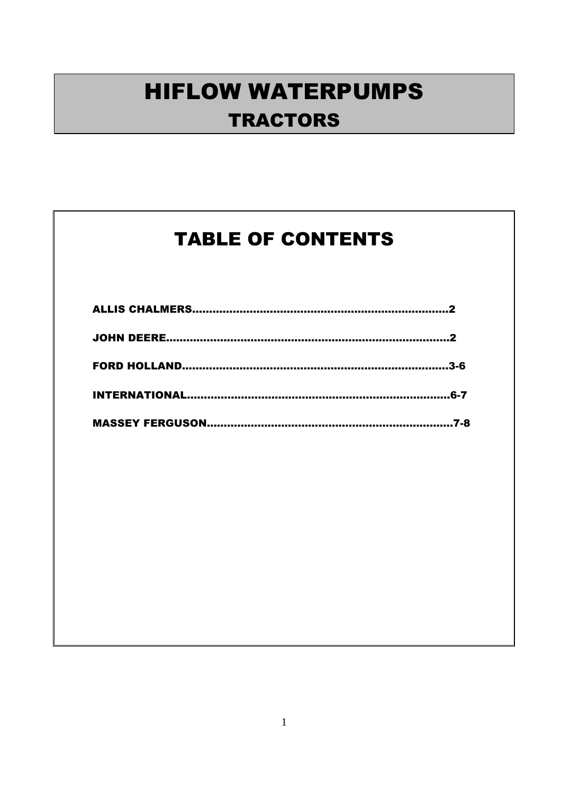#### TABLE OF CONTENTS

| .ค.7 |
|------|
|      |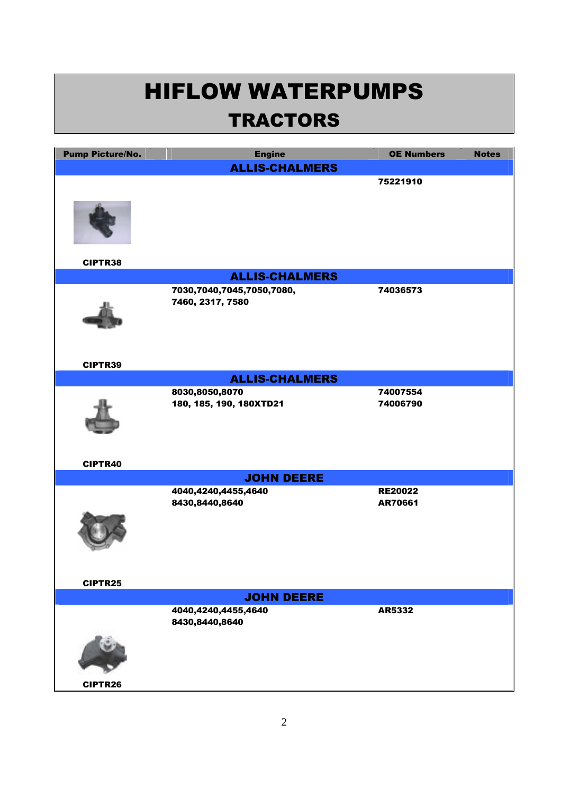| <b>Pump Picture/No.</b> | <b>Engine</b>                                 | <b>OE Numbers</b> | <b>Notes</b> |
|-------------------------|-----------------------------------------------|-------------------|--------------|
|                         | <b>ALLIS-CHALMERS</b>                         |                   |              |
|                         |                                               | 75221910          |              |
|                         |                                               |                   |              |
| CIPTR38                 |                                               |                   |              |
|                         | <b>ALLIS-CHALMERS</b>                         |                   |              |
|                         | 7030,7040,7045,7050,7080,<br>7460, 2317, 7580 | 74036573          |              |
| CIPTR39                 |                                               |                   |              |
|                         | <b>ALLIS-CHALMERS</b>                         |                   |              |
|                         | 8030,8050,8070                                | 74007554          |              |
|                         | 180, 185, 190, 180XTD21                       | 74006790          |              |
| CIPTR40                 |                                               |                   |              |
|                         | <b>JOHN DEERE</b>                             |                   |              |
|                         | 4040,4240,4455,4640                           | <b>RE20022</b>    |              |
|                         | 8430,8440,8640                                | AR70661           |              |
|                         |                                               |                   |              |
| CIPTR25                 |                                               |                   |              |
|                         | <b>JOHN DEERE</b>                             |                   |              |
|                         | 4040,4240,4455,4640<br>8430,8440,8640         | AR5332            |              |
|                         |                                               |                   |              |
| CIPTR26                 |                                               |                   |              |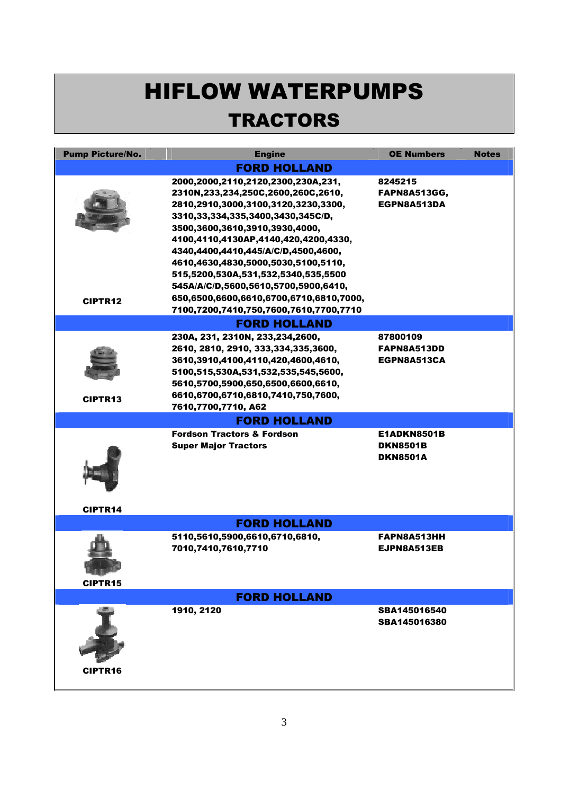# HIFLOW WATERPUMPS

#### **TRACTORS**

| <b>Pump Picture/No.</b> | <b>Engine</b>                                                                                                                                                                                                                                                               | <b>OE Numbers</b>                                 | <b>Notes</b> |
|-------------------------|-----------------------------------------------------------------------------------------------------------------------------------------------------------------------------------------------------------------------------------------------------------------------------|---------------------------------------------------|--------------|
|                         | <b>FORD HOLLAND</b>                                                                                                                                                                                                                                                         |                                                   |              |
|                         | 2000,2000,2110,2120,2300,230A,231,<br>2310N,233,234,250C,2600,260C,2610,<br>2810,2910,3000,3100,3120,3230,3300,<br>3310, 33, 334, 335, 3400, 3430, 345C/D,<br>3500,3600,3610,3910,3930,4000,<br>4100,4110,4130AP,4140,420,4200,4330,<br>4340,4400,4410,445/A/C/D,4500,4600, | 8245215<br><b>FAPN8A513GG,</b><br>EGPN8A513DA     |              |
| <b>CIPTR12</b>          | 4610,4630,4830,5000,5030,5100,5110,<br>515,5200,530A,531,532,5340,535,5500<br>545A/A/C/D,5600,5610,5700,5900,6410,<br>650,6500,6600,6610,6700,6710,6810,7000,<br>7100,7200,7410,750,7600,7610,7700,7710                                                                     |                                                   |              |
|                         | <b>FORD HOLLAND</b>                                                                                                                                                                                                                                                         |                                                   |              |
|                         | 230A, 231, 2310N, 233, 234, 2600,<br>2610, 2810, 2910, 333, 334, 335, 3600,<br>3610,3910,4100,4110,420,4600,4610,<br>5100,515,530A,531,532,535,545,5600,<br>5610,5700,5900,650,6500,6600,6610,                                                                              | 87800109<br>FAPN8A513DD<br>EGPN8A513CA            |              |
| <b>CIPTR13</b>          | 6610,6700,6710,6810,7410,750,7600,<br>7610,7700,7710, A62                                                                                                                                                                                                                   |                                                   |              |
|                         | <b>FORD HOLLAND</b>                                                                                                                                                                                                                                                         |                                                   |              |
|                         | <b>Fordson Tractors &amp; Fordson</b><br><b>Super Major Tractors</b>                                                                                                                                                                                                        | E1ADKN8501B<br><b>DKN8501B</b><br><b>DKN8501A</b> |              |
| <b>CIPTR14</b>          |                                                                                                                                                                                                                                                                             |                                                   |              |
|                         | <b>FORD HOLLAND</b>                                                                                                                                                                                                                                                         |                                                   |              |
| <b>CIPTR15</b>          | 5110,5610,5900,6610,6710,6810,<br>7010,7410,7610,7710                                                                                                                                                                                                                       | FAPN8A513HH<br>EJPN8A513EB                        |              |
| <b>FORD HOLLAND</b>     |                                                                                                                                                                                                                                                                             |                                                   |              |
| CIPTR16                 | 1910, 2120                                                                                                                                                                                                                                                                  | SBA145016540<br>SBA145016380                      |              |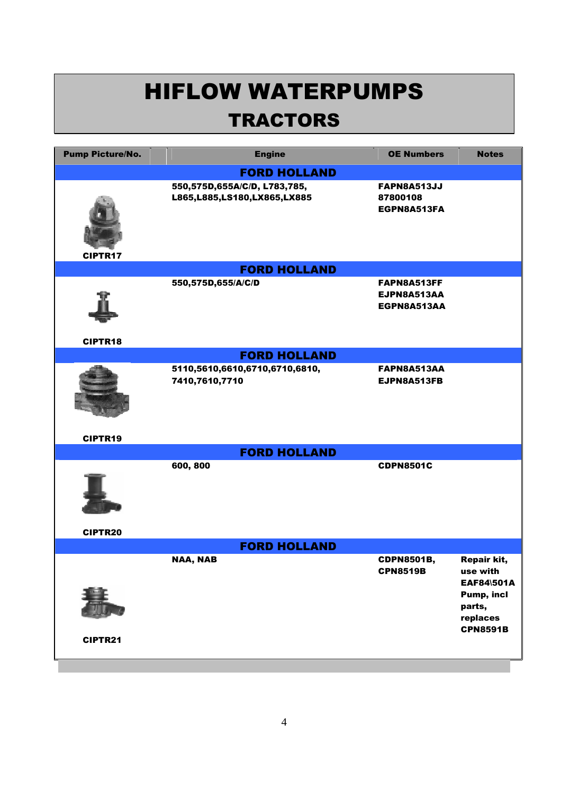| <b>Pump Picture/No.</b> | <b>Engine</b>                                               | <b>OE Numbers</b>                             | <b>Notes</b>                                                                                                      |
|-------------------------|-------------------------------------------------------------|-----------------------------------------------|-------------------------------------------------------------------------------------------------------------------|
|                         | <b>FORD HOLLAND</b>                                         |                                               |                                                                                                                   |
| <b>CIPTR17</b>          | 550,575D,655A/C/D, L783,785,<br>L865,L885,LS180,LX865,LX885 | <b>FAPN8A513JJ</b><br>87800108<br>EGPN8A513FA |                                                                                                                   |
|                         | <b>FORD HOLLAND</b>                                         |                                               |                                                                                                                   |
| CIPTR18                 | 550,575D,655/A/C/D                                          | FAPN8A513FF<br>EJPN8A513AA<br>EGPN8A513AA     |                                                                                                                   |
|                         | <b>FORD HOLLAND</b>                                         |                                               |                                                                                                                   |
| CIPTR19                 | 5110,5610,6610,6710,6710,6810,<br>7410,7610,7710            | FAPN8A513AA<br>EJPN8A513FB                    |                                                                                                                   |
|                         | <b>FORD HOLLAND</b>                                         |                                               |                                                                                                                   |
| CIPTR20                 | 600, 800                                                    | <b>CDPN8501C</b>                              |                                                                                                                   |
| <b>FORD HOLLAND</b>     |                                                             |                                               |                                                                                                                   |
| CIPTR21                 | <b>NAA, NAB</b>                                             | <b>CDPN8501B,</b><br><b>CPN8519B</b>          | <b>Repair kit,</b><br>use with<br><b>EAF84\501A</b><br><b>Pump, incl</b><br>parts,<br>replaces<br><b>CPN8591B</b> |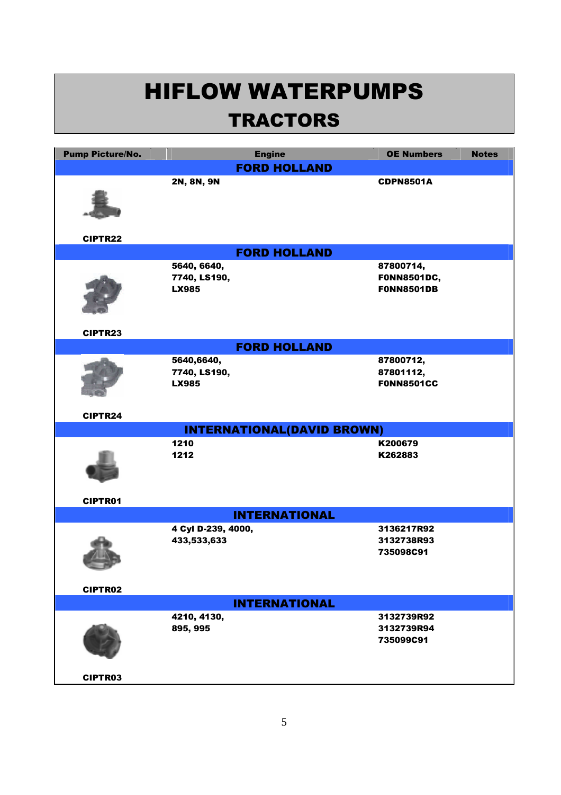| <b>Pump Picture/No.</b> | <b>Engine</b>                     | <b>OE Numbers</b><br><b>Notes</b> |
|-------------------------|-----------------------------------|-----------------------------------|
|                         | <b>FORD HOLLAND</b>               |                                   |
|                         | 2N, 8N, 9N                        | <b>CDPN8501A</b>                  |
|                         |                                   |                                   |
|                         |                                   |                                   |
|                         |                                   |                                   |
| <b>CIPTR22</b>          |                                   |                                   |
|                         | <b>FORD HOLLAND</b>               |                                   |
|                         |                                   |                                   |
|                         | 5640, 6640,<br>7740, LS190,       | 87800714,<br><b>FONN8501DC,</b>   |
|                         | <b>LX985</b>                      | <b>FONN8501DB</b>                 |
|                         |                                   |                                   |
|                         |                                   |                                   |
|                         |                                   |                                   |
| CIPTR23                 |                                   |                                   |
|                         | <b>FORD HOLLAND</b>               |                                   |
|                         | 5640,6640,                        | 87800712,                         |
|                         | 7740, LS190,                      | 87801112,                         |
|                         | <b>LX985</b>                      | <b>FONN8501CC</b>                 |
|                         |                                   |                                   |
| CIPTR24                 |                                   |                                   |
|                         | <b>INTERNATIONAL(DAVID BROWN)</b> |                                   |
|                         | 1210                              | K200679                           |
|                         | 1212                              | K262883                           |
|                         |                                   |                                   |
|                         |                                   |                                   |
|                         |                                   |                                   |
| <b>CIPTR01</b>          |                                   |                                   |
|                         | <b>INTERNATIONAL</b>              |                                   |
|                         | 4 Cyl D-239, 4000,                | 3136217R92                        |
|                         | 433,533,633                       | 3132738R93                        |
|                         |                                   | 735098C91                         |
|                         |                                   |                                   |
| CIPTR02                 |                                   |                                   |
|                         | <b>INTERNATIONAL</b>              |                                   |
|                         |                                   |                                   |
|                         | 4210, 4130,<br>895, 995           | 3132739R92<br>3132739R94          |
|                         |                                   | 735099C91                         |
|                         |                                   |                                   |
|                         |                                   |                                   |
| <b>CIPTR03</b>          |                                   |                                   |
|                         |                                   |                                   |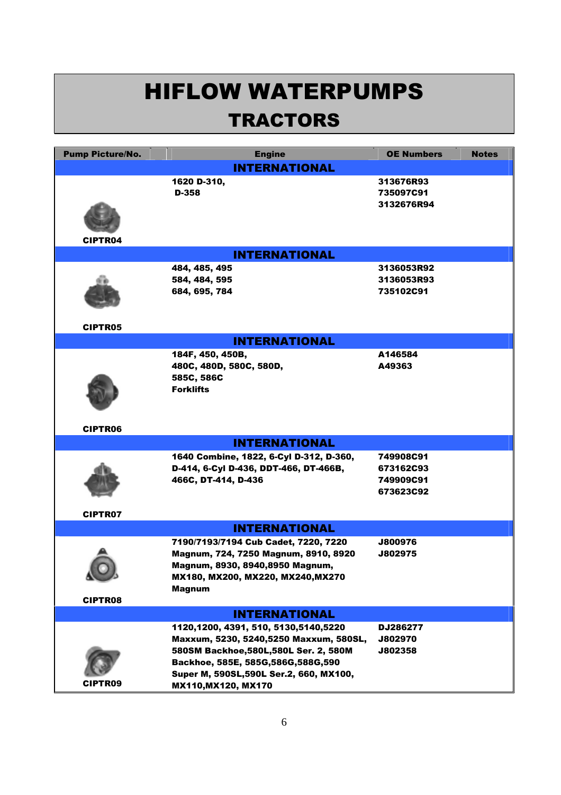| <b>Pump Picture/No.</b> | <b>Engine</b>                           | <b>OE Numbers</b> | <b>Notes</b> |
|-------------------------|-----------------------------------------|-------------------|--------------|
|                         | <b>INTERNATIONAL</b>                    |                   |              |
|                         | 1620 D-310,                             | 313676R93         |              |
|                         | D-358                                   | 735097C91         |              |
|                         |                                         | 3132676R94        |              |
|                         |                                         |                   |              |
|                         |                                         |                   |              |
| <b>CIPTR04</b>          |                                         |                   |              |
|                         | <b>INTERNATIONAL</b>                    |                   |              |
|                         | 484, 485, 495                           | 3136053R92        |              |
|                         | 584, 484, 595                           | 3136053R93        |              |
|                         | 684, 695, 784                           | 735102C91         |              |
|                         |                                         |                   |              |
|                         |                                         |                   |              |
| <b>CIPTR05</b>          |                                         |                   |              |
|                         | <b>INTERNATIONAL</b>                    |                   |              |
|                         | 184F, 450, 450B,                        | A146584           |              |
|                         | 480C, 480D, 580C, 580D,                 | A49363            |              |
|                         | 585C, 586C                              |                   |              |
|                         | <b>Forklifts</b>                        |                   |              |
|                         |                                         |                   |              |
|                         |                                         |                   |              |
| <b>CIPTR06</b>          |                                         |                   |              |
|                         | <b>INTERNATIONAL</b>                    |                   |              |
|                         | 1640 Combine, 1822, 6-Cyl D-312, D-360, | 749908C91         |              |
|                         | D-414, 6-Cyl D-436, DDT-466, DT-466B,   | 673162C93         |              |
|                         | 466C, DT-414, D-436                     | 749909C91         |              |
|                         |                                         | 673623C92         |              |
|                         |                                         |                   |              |
| <b>CIPTR07</b>          |                                         |                   |              |
| <b>INTERNATIONAL</b>    |                                         |                   |              |
|                         | 7190/7193/7194 Cub Cadet, 7220, 7220    | J800976           |              |
|                         | Magnum, 724, 7250 Magnum, 8910, 8920    | J802975           |              |
|                         | Magnum, 8930, 8940,8950 Magnum,         |                   |              |
|                         | MX180, MX200, MX220, MX240, MX270       |                   |              |
| <b>CIPTR08</b>          | <b>Magnum</b>                           |                   |              |
|                         | <b>INTERNATIONAL</b>                    |                   |              |
|                         | 1120,1200, 4391, 510, 5130,5140,5220    | DJ286277          |              |
|                         | Maxxum, 5230, 5240,5250 Maxxum, 580SL,  | J802970           |              |
|                         | 580SM Backhoe, 580L, 580L Ser. 2, 580M  | J802358           |              |
|                         | Backhoe, 585E, 585G, 586G, 588G, 590    |                   |              |
|                         | Super M, 590SL, 590L Ser.2, 660, MX100, |                   |              |
| <b>CIPTR09</b>          | MX110, MX120, MX170                     |                   |              |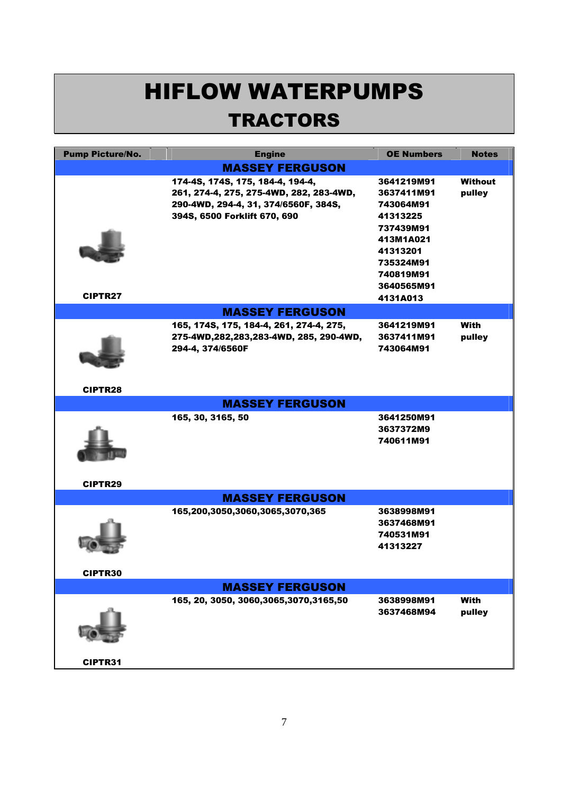| <b>Pump Picture/No.</b> | <b>Engine</b>                             | <b>OE Numbers</b>     | <b>Notes</b>   |
|-------------------------|-------------------------------------------|-----------------------|----------------|
|                         | <b>MASSEY FERGUSON</b>                    |                       |                |
|                         | 174-4S, 174S, 175, 184-4, 194-4,          | 3641219M91            | <b>Without</b> |
|                         | 261, 274-4, 275, 275-4WD, 282, 283-4WD,   | 3637411M91            | pulley         |
|                         | 290-4WD, 294-4, 31, 374/6560F, 384S,      | 743064M91             |                |
|                         | 394S, 6500 Forklift 670, 690              | 41313225              |                |
|                         |                                           | 737439M91             |                |
|                         |                                           | 413M1A021             |                |
|                         |                                           | 41313201              |                |
|                         |                                           | 735324M91             |                |
|                         |                                           | 740819M91             |                |
|                         |                                           | 3640565M91            |                |
| <b>CIPTR27</b>          |                                           | 4131A013              |                |
|                         | <b>MASSEY FERGUSON</b>                    |                       |                |
|                         | 165, 174S, 175, 184-4, 261, 274-4, 275,   | 3641219M91            | With           |
|                         | 275-4WD,282,283,283-4WD, 285, 290-4WD,    | 3637411M91            | pulley         |
|                         | 294-4, 374/6560F                          | 743064M91             |                |
|                         |                                           |                       |                |
|                         |                                           |                       |                |
| <b>CIPTR28</b>          |                                           |                       |                |
|                         | <b>MASSEY FERGUSON</b>                    |                       |                |
|                         | 165, 30, 3165, 50                         | 3641250M91            |                |
|                         |                                           | 3637372M9             |                |
|                         |                                           | 740611M91             |                |
|                         |                                           |                       |                |
|                         |                                           |                       |                |
|                         |                                           |                       |                |
| <b>CIPTR29</b>          |                                           |                       |                |
|                         | <b>MASSEY FERGUSON</b>                    |                       |                |
|                         | 165,200,3050,3060,3065,3070,365           | 3638998M91            |                |
|                         |                                           | 3637468M91            |                |
|                         |                                           | 740531M91<br>41313227 |                |
|                         |                                           |                       |                |
|                         |                                           |                       |                |
| <b>CIPTR30</b>          |                                           |                       |                |
|                         | <b>MASSEY FERGUSON</b>                    |                       |                |
|                         | 165, 20, 3050, 3060, 3065, 3070, 3165, 50 | 3638998M91            | With           |
|                         |                                           | 3637468M94            | pulley         |
|                         |                                           |                       |                |
|                         |                                           |                       |                |
|                         |                                           |                       |                |
| <b>CIPTR31</b>          |                                           |                       |                |